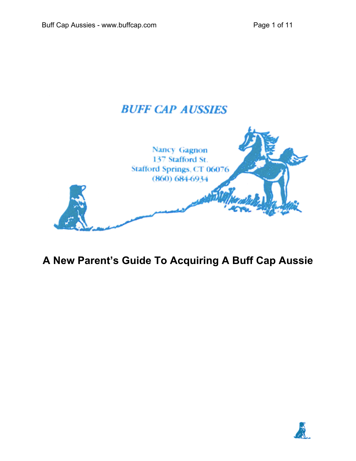# **BUFF CAP AUSSIES**



# **A New Parent's Guide To Acquiring A Buff Cap Aussie**

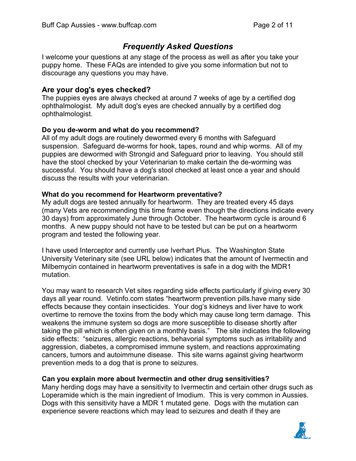# *Frequently Asked Questions*

I welcome your questions at any stage of the process as well as after you take your puppy home. These FAQs are intended to give you some information but not to discourage any questions you may have.

#### **Are your dog's eyes checked?**

The puppies eyes are always checked at around 7 weeks of age by a certified dog ophthalmologist. My adult dog's eyes are checked annually by a certified dog ophthalmologist.

#### **Do you de-worm and what do you recommend?**

All of my adult dogs are routinely dewormed every 6 months with Safeguard suspension. Safeguard de-worms for hook, tapes, round and whip worms. All of my puppies are dewormed with Strongid and Safeguard prior to leaving. You should still have the stool checked by your Veterinarian to make certain the de-worming was successful. You should have a dog's stool checked at least once a year and should discuss the results with your veterinarian.

#### **What do you recommend for Heartworm preventative?**

My adult dogs are tested annually for heartworm. They are treated every 45 days (many Vets are recommending this time frame even though the directions indicate every 30 days) from approximately June through October. The heartworm cycle is around 6 months. A new puppy should not have to be tested but can be put on a heartworm program and tested the following year.

I have used Interceptor and currently use Iverhart Plus. The Washington State University Veterinary site (see URL below) indicates that the amount of Ivermectin and Milbemycin contained in heartworm preventatives is safe in a dog with the MDR1 mutation.

You may want to research Vet sites regarding side effects particularly if giving every 30 days all year round. Vetinfo.com states "heartworm prevention pills.have many side effects because they contain insecticides. Your dog's kidneys and liver have to work overtime to remove the toxins from the body which may cause long term damage. This weakens the immune system so dogs are more susceptible to disease shortly after taking the pill which is often given on a monthly basis." The site indicates the following side effects: "seizures, allergic reactions, behavorial symptoms such as irritability and aggression, diabetes, a compromised immune system, and reactions approximating cancers, tumors and autoimmune disease. This site warns against giving heartworm prevention meds to a dog that is prone to seizures.

#### **Can you explain more about Ivermectin and other drug sensitivities?**

Many herding dogs may have a sensitivity to Ivermectin and certain other drugs such as Loperamide which is the main ingredient of Imodium. This is very common in Aussies. Dogs with this sensitivity have a MDR 1 mutated gene. Dogs with the mutation can experience severe reactions which may lead to seizures and death if they are

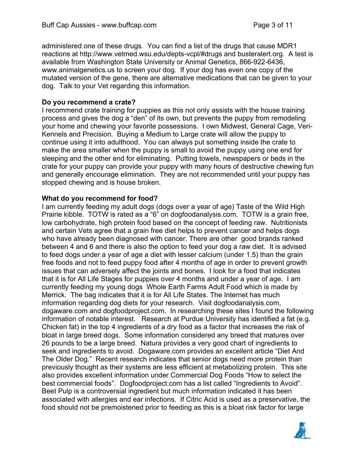administered one of these drugs. You can find a list of the drugs that cause MDR1 reactions at http://www.vetmed.wsu.edu/depts-vcpl/#drugs and busteralert.org. A test is available from Washington State University or Animal Genetics, 866-922-6436, www.animalgenetics.us to screen your dog. If your dog has even one copy of the mutated version of the gene, there are alternative medications that can be given to your dog. Talk to your Vet regarding this information.

#### **Do you recommend a crate?**

I recommend crate training for puppies as this not only assists with the house training process and gives the dog a "den" of its own, but prevents the puppy from remodeling your home and chewing your favorite possessions. I own Midwest, General Cage, Veri-Kennels and Precision. Buying a Medium to Large crate will allow the puppy to continue using it into adulthood. You can always put something inside the crate to make the area smaller when the puppy is small to avoid the puppy using one end for sleeping and the other end for eliminating. Putting towels, newspapers or beds in the crate for your puppy can provide your puppy with many hours of destructive chewing fun and generally encourage elimination. They are not recommended until your puppy has stopped chewing and is house broken.

#### **What do you recommend for food?**

I am currently feeding my adult dogs (dogs over a year of age) Taste of the Wild High Prairie kibble. TOTW is rated as a "6" on dogfoodanalysis.com. TOTW is a grain free, low carbohydrate, high protein food based on the concept of feeding raw. Nutritionists and certain Vets agree that a grain free diet helps to prevent cancer and helps dogs who have already been diagnosed with cancer. There are other good brands ranked between 4 and 6 and there is also the option to feed your dog a raw diet. It is advised to feed dogs under a year of age a diet with lesser calcium (under 1.5) than the grain free foods and not to feed puppy food after 4 months of age in order to prevent growth issues that can adversely affect the joints and bones. I look for a food that indicates that it is for All Life Stages for puppies over 4 months and under a year of age. I am currently feeding my young dogs Whole Earth Farms Adult Food which is made by Merrick. The bag indicates that it is for All Life States. The Internet has much information regarding dog diets for your research. Visit dogfoodanalysis.com, dogaware.com and dogfoodproject.com. In researching these sites I found the following information of notable interest. Research at Purdue University has identified a fat (e.g. Chicken fat) in the top 4 ingredients of a dry food as a factor that increases the risk of bloat in large breed dogs. Some information considered any breed that matures over 26 pounds to be a large breed. Natura provides a very good chart of ingredients to seek and ingredients to avoid. Dogaware.com provides an excellent article "Diet And The Older Dog." Recent research indicates that senior dogs need more protein than previously thought as their systems are less efficient at metabolizing protein. This site also provides excellent information under Commercial Dog Foods "How to select the best commercial foods". Dogfoodproject.com has a list called "Ingredients to Avoid". Beet Pulp is a controversial ingredient but much information indicated it has been associated with allergies and ear infections. If Citric Acid is used as a preservative, the food should not be premoistened prior to feeding as this is a bloat risk factor for large

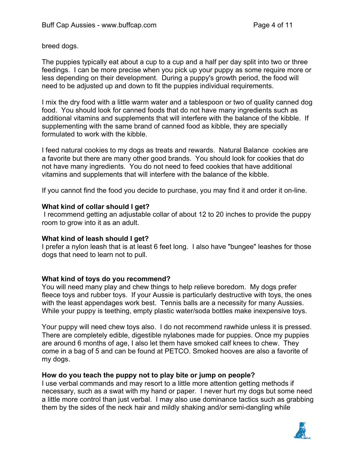breed dogs.

The puppies typically eat about a cup to a cup and a half per day split into two or three feedings. I can be more precise when you pick up your puppy as some require more or less depending on their development. During a puppy's growth period, the food will need to be adjusted up and down to fit the puppies individual requirements.

I mix the dry food with a little warm water and a tablespoon or two of quality canned dog food. You should look for canned foods that do not have many ingredients such as additional vitamins and supplements that will interfere with the balance of the kibble. If supplementing with the same brand of canned food as kibble, they are specially formulated to work with the kibble.

I feed natural cookies to my dogs as treats and rewards. Natural Balance cookies are a favorite but there are many other good brands. You should look for cookies that do not have many ingredients. You do not need to feed cookies that have additional vitamins and supplements that will interfere with the balance of the kibble.

If you cannot find the food you decide to purchase, you may find it and order it on-line.

#### **What kind of collar should I get?**

 I recommend getting an adjustable collar of about 12 to 20 inches to provide the puppy room to grow into it as an adult.

#### **What kind of leash should I get?**

I prefer a nylon leash that is at least 6 feet long. I also have "bungee" leashes for those dogs that need to learn not to pull.

#### **What kind of toys do you recommend?**

You will need many play and chew things to help relieve boredom. My dogs prefer fleece toys and rubber toys. If your Aussie is particularly destructive with toys, the ones with the least appendages work best. Tennis balls are a necessity for many Aussies. While your puppy is teething, empty plastic water/soda bottles make inexpensive toys.

Your puppy will need chew toys also. I do not recommend rawhide unless it is pressed. There are completely edible, digestible nylabones made for puppies. Once my puppies are around 6 months of age, I also let them have smoked calf knees to chew. They come in a bag of 5 and can be found at PETCO. Smoked hooves are also a favorite of my dogs.

#### **How do you teach the puppy not to play bite or jump on people?**

I use verbal commands and may resort to a little more attention getting methods if necessary, such as a swat with my hand or paper. I never hurt my dogs but some need a little more control than just verbal. I may also use dominance tactics such as grabbing them by the sides of the neck hair and mildly shaking and/or semi-dangling while

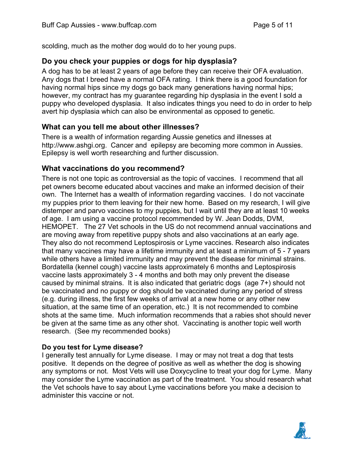scolding, much as the mother dog would do to her young pups.

## **Do you check your puppies or dogs for hip dysplasia?**

A dog has to be at least 2 years of age before they can receive their OFA evaluation. Any dogs that I breed have a normal OFA rating. I think there is a good foundation for having normal hips since my dogs go back many generations having normal hips; however, my contract has my guarantee regarding hip dysplasia in the event I sold a puppy who developed dysplasia. It also indicates things you need to do in order to help avert hip dysplasia which can also be environmental as opposed to genetic.

## **What can you tell me about other illnesses?**

There is a wealth of information regarding Aussie genetics and illnesses at http://www.ashgi.org. Cancer and epilepsy are becoming more common in Aussies. Epilepsy is well worth researching and further discussion.

## **What vaccinations do you recommend?**

There is not one topic as controversial as the topic of vaccines. I recommend that all pet owners become educated about vaccines and make an informed decision of their own. The Internet has a wealth of information regarding vaccines. I do not vaccinate my puppies prior to them leaving for their new home. Based on my research, I will give distemper and parvo vaccines to my puppies, but I wait until they are at least 10 weeks of age. I am using a vaccine protocol recommended by W. Jean Dodds, DVM, HEMOPET. The 27 Vet schools in the US do not recommend annual vaccinations and are moving away from repetitive puppy shots and also vaccinations at an early age. They also do not recommend Leptospirosis or Lyme vaccines. Research also indicates that many vaccines may have a lifetime immunity and at least a minimum of 5 - 7 years while others have a limited immunity and may prevent the disease for minimal strains. Bordatella (kennel cough) vaccine lasts approximately 6 months and Leptospirosis vaccine lasts approximately 3 - 4 months and both may only prevent the disease caused by minimal strains. It is also indicated that geriatric dogs (age 7+) should not be vaccinated and no puppy or dog should be vaccinated during any period of stress (e.g. during illness, the first few weeks of arrival at a new home or any other new situation, at the same time of an operation, etc.) It is not recommended to combine shots at the same time. Much information recommends that a rabies shot should never be given at the same time as any other shot. Vaccinating is another topic well worth research. (See my recommended books)

#### **Do you test for Lyme disease?**

I generally test annually for Lyme disease. I may or may not treat a dog that tests positive. It depends on the degree of positive as well as whether the dog is showing any symptoms or not. Most Vets will use Doxycycline to treat your dog for Lyme. Many may consider the Lyme vaccination as part of the treatment. You should research what the Vet schools have to say about Lyme vaccinations before you make a decision to administer this vaccine or not.

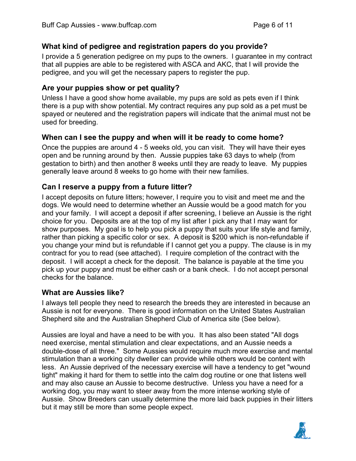## **What kind of pedigree and registration papers do you provide?**

I provide a 5 generation pedigree on my pups to the owners. l guarantee in my contract that all puppies are able to be registered with ASCA and AKC, that I will provide the pedigree, and you will get the necessary papers to register the pup.

### **Are your puppies show or pet quality?**

Unless I have a good show home available, my pups are sold as pets even if I think there is a pup with show potential. My contract requires any pup sold as a pet must be spayed or neutered and the registration papers will indicate that the animal must not be used for breeding.

### **When can I see the puppy and when will it be ready to come home?**

Once the puppies are around 4 - 5 weeks old, you can visit. They will have their eyes open and be running around by then. Aussie puppies take 63 days to whelp (from gestation to birth) and then another 8 weeks until they are ready to leave. My puppies generally leave around 8 weeks to go home with their new families.

## **Can I reserve a puppy from a future litter?**

I accept deposits on future litters; however, I require you to visit and meet me and the dogs. We would need to determine whether an Aussie would be a good match for you and your family. I will accept a deposit if after screening, I believe an Aussie is the right choice for you. Deposits are at the top of my list after I pick any that I may want for show purposes. My goal is to help you pick a puppy that suits your life style and family, rather than picking a specific color or sex. A deposit is \$200 which is non-refundable if you change your mind but is refundable if I cannot get you a puppy. The clause is in my contract for you to read (see attached). I require completion of the contract with the deposit. I will accept a check for the deposit. The balance is payable at the time you pick up your puppy and must be either cash or a bank check. I do not accept personal checks for the balance.

#### **What are Aussies like?**

I always tell people they need to research the breeds they are interested in because an Aussie is not for everyone. There is good information on the United States Australian Shepherd site and the Australian Shepherd Club of America site (See below).

Aussies are loyal and have a need to be with you. It has also been stated "All dogs need exercise, mental stimulation and clear expectations, and an Aussie needs a double-dose of all three." Some Aussies would require much more exercise and mental stimulation than a working city dweller can provide while others would be content with less. An Aussie deprived of the necessary exercise will have a tendency to get "wound tight" making it hard for them to settle into the calm dog routine or one that listens well and may also cause an Aussie to become destructive. Unless you have a need for a working dog, you may want to steer away from the more intense working style of Aussie. Show Breeders can usually determine the more laid back puppies in their litters but it may still be more than some people expect.

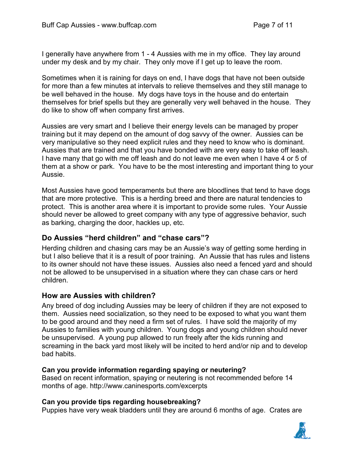I generally have anywhere from 1 - 4 Aussies with me in my office. They lay around under my desk and by my chair. They only move if I get up to leave the room.

Sometimes when it is raining for days on end, I have dogs that have not been outside for more than a few minutes at intervals to relieve themselves and they still manage to be well behaved in the house. My dogs have toys in the house and do entertain themselves for brief spells but they are generally very well behaved in the house. They do like to show off when company first arrives.

Aussies are very smart and I believe their energy levels can be managed by proper training but it may depend on the amount of dog savvy of the owner. Aussies can be very manipulative so they need explicit rules and they need to know who is dominant. Aussies that are trained and that you have bonded with are very easy to take off leash. I have many that go with me off leash and do not leave me even when I have 4 or 5 of them at a show or park. You have to be the most interesting and important thing to your Aussie.

Most Aussies have good temperaments but there are bloodlines that tend to have dogs that are more protective. This is a herding breed and there are natural tendencies to protect. This is another area where it is important to provide some rules. Your Aussie should never be allowed to greet company with any type of aggressive behavior, such as barking, charging the door, hackles up, etc.

## **Do Aussies "herd children" and "chase cars"?**

Herding children and chasing cars may be an Aussie's way of getting some herding in but I also believe that it is a result of poor training. An Aussie that has rules and listens to its owner should not have these issues. Aussies also need a fenced yard and should not be allowed to be unsupervised in a situation where they can chase cars or herd children.

#### **How are Aussies with children?**

Any breed of dog including Aussies may be leery of children if they are not exposed to them. Aussies need socialization, so they need to be exposed to what you want them to be good around and they need a firm set of rules. I have sold the majority of my Aussies to families with young children. Young dogs and young children should never be unsupervised. A young pup allowed to run freely after the kids running and screaming in the back yard most likely will be incited to herd and/or nip and to develop bad habits.

#### **Can you provide information regarding spaying or neutering?**

Based on recent information, spaying or neutering is not recommended before 14 months of age. http://www.caninesports.com/excerpts

#### **Can you provide tips regarding housebreaking?**

Puppies have very weak bladders until they are around 6 months of age. Crates are

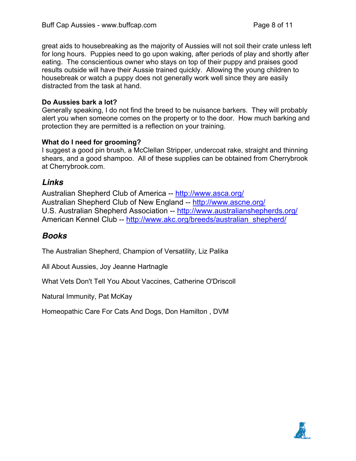great aids to housebreaking as the majority of Aussies will not soil their crate unless left for long hours. Puppies need to go upon waking, after periods of play and shortly after eating. The conscientious owner who stays on top of their puppy and praises good results outside will have their Aussie trained quickly. Allowing the young children to housebreak or watch a puppy does not generally work well since they are easily distracted from the task at hand.

#### **Do Aussies bark a lot?**

Generally speaking, I do not find the breed to be nuisance barkers. They will probably alert you when someone comes on the property or to the door. How much barking and protection they are permitted is a reflection on your training.

### **What do I need for grooming?**

I suggest a good pin brush, a McClellan Stripper, undercoat rake, straight and thinning shears, and a good shampoo. All of these supplies can be obtained from Cherrybrook at Cherrybrook.com.

## *Links*

Australian Shepherd Club of America -- http://www.asca.org/ Australian Shepherd Club of New England -- http://www.ascne.org/ U.S. Australian Shepherd Association -- http://www.australianshepherds.org/ American Kennel Club -- http://www.akc.org/breeds/australian\_shepherd/

# *Books*

The Australian Shepherd, Champion of Versatility, Liz Palika

All About Aussies, Joy Jeanne Hartnagle

What Vets Don't Tell You About Vaccines, Catherine O'Driscoll

Natural Immunity, Pat McKay

Homeopathic Care For Cats And Dogs, Don Hamilton , DVM

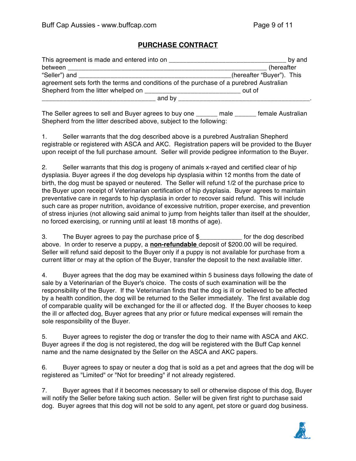#### **PURCHASE CONTRACT**

| This agreement is made and entered into on                                             | by and                    |
|----------------------------------------------------------------------------------------|---------------------------|
| between                                                                                | (hereafter                |
| "Seller") and                                                                          | (hereafter "Buyer"). This |
| agreement sets forth the terms and conditions of the purchase of a purebred Australian |                           |
| Shepherd from the litter whelped on                                                    | out of                    |
| and by                                                                                 |                           |

The Seller agrees to sell and Buyer agrees to buy one \_\_\_\_\_\_ male \_\_\_\_\_\_ female Australian Shepherd from the litter described above, subject to the following:

1. Seller warrants that the dog described above is a purebred Australian Shepherd registrable or registered with ASCA and AKC. Registration papers will be provided to the Buyer upon receipt of the full purchase amount. Seller will provide pedigree information to the Buyer.

2. Seller warrants that this dog is progeny of animals x-rayed and certified clear of hip dysplasia. Buyer agrees if the dog develops hip dysplasia within 12 months from the date of birth, the dog must be spayed or neutered. The Seller will refund 1/2 of the purchase price to the Buyer upon receipt of Veterinarian certification of hip dysplasia. Buyer agrees to maintain preventative care in regards to hip dysplasia in order to recover said refund. This will include such care as proper nutrition, avoidance of excessive nutrition, proper exercise, and prevention of stress injuries (not allowing said animal to jump from heights taller than itself at the shoulder, no forced exercising, or running until at least 18 months of age).

3. The Buyer agrees to pay the purchase price of \$\_\_\_\_\_\_\_\_\_\_\_\_ for the dog described above. In order to reserve a puppy, a **non-refundable** deposit of \$200.00 will be required. Seller will refund said deposit to the Buyer only if a puppy is not available for purchase from a current litter or may at the option of the Buyer, transfer the deposit to the next available litter.

4. Buyer agrees that the dog may be examined within 5 business days following the date of sale by a Veterinarian of the Buyer's choice. The costs of such examination will be the responsibility of the Buyer. If the Veterinarian finds that the dog is ill or believed to be affected by a health condition, the dog will be returned to the Seller immediately. The first available dog of comparable quality will be exchanged for the ill or affected dog. If the Buyer chooses to keep the ill or affected dog, Buyer agrees that any prior or future medical expenses will remain the sole responsibility of the Buyer.

5. Buyer agrees to register the dog or transfer the dog to their name with ASCA and AKC. Buyer agrees if the dog is not registered, the dog will be registered with the Buff Cap kennel name and the name designated by the Seller on the ASCA and AKC papers.

6. Buyer agrees to spay or neuter a dog that is sold as a pet and agrees that the dog will be registered as "Limited" or "Not for breeding" if not already registered.

7. Buyer agrees that if it becomes necessary to sell or otherwise dispose of this dog, Buyer will notify the Seller before taking such action. Seller will be given first right to purchase said dog. Buyer agrees that this dog will not be sold to any agent, pet store or guard dog business.

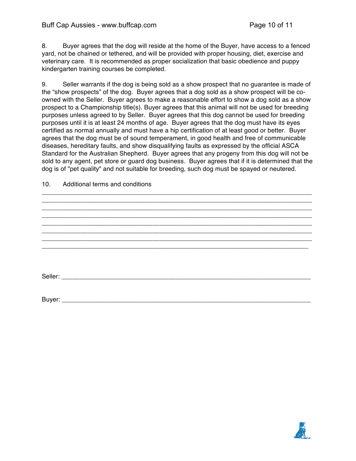#### Buff Cap Aussies - www.buffcap.com Page 10 of 11

8. Buyer agrees that the dog will reside at the home of the Buyer, have access to a fenced yard, not be chained or tethered, and will be provided with proper housing, diet, exercise and veterinary care. It is recommended as proper socialization that basic obedience and puppy kindergarten training courses be completed.

9. Seller warrants if the dog is being sold as a show prospect that no guarantee is made of the "show prospects" of the dog. Buyer agrees that a dog sold as a show prospect will be coowned with the Seller. Buyer agrees to make a reasonable effort to show a dog sold as a show prospect to a Championship title(s). Buyer agrees that this animal will not be used for breeding purposes unless agreed to by Seller. Buyer agrees that this dog cannot be used for breeding purposes until it is at least 24 months of age. Buyer agrees that the dog must have its eyes certified as normal annually and must have a hip certification of at least good or better. Buyer agrees that the dog must be of sound temperament, in good health and free of communicable diseases, hereditary faults, and show disqualifying faults as expressed by the official ASCA Standard for the Australian Shepherd. Buyer agrees that any progeny from this dog will not be sold to any agent, pet store or guard dog business. Buyer agrees that if it is determined that the dog is of "pet quality" and not suitable for breeding, such dog must be spayed or neutered.

| <br>Production to the direct content of   |
|-------------------------------------------|
|                                           |
|                                           |
|                                           |
|                                           |
|                                           |
|                                           |
|                                           |
|                                           |
|                                           |
|                                           |
|                                           |
|                                           |
|                                           |
| Buyer: __________________________________ |

10. Additional terms and conditions